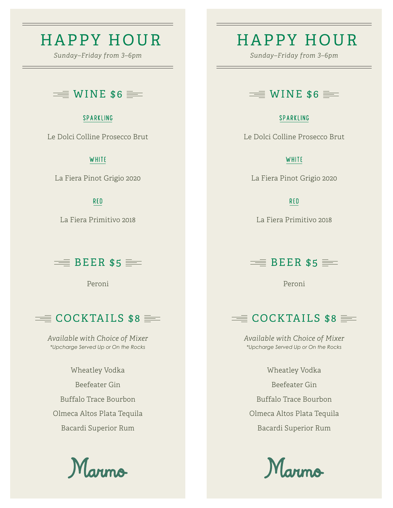# HAPPY HOUR HAPPY HOUR

*Sunday–Friday from 3–6pm Sunday–Friday from 3–6pm*

## $\equiv$  WINE \$6  $\equiv$

### SPARKLING

Le Dolci Colline Prosecco Brut

### **WHITE**

La Fiera Pinot Grigio 2020

### **RED**

La Fiera Primitivo 2018

### $\equiv$  BEER \$5  $\equiv$

Peroni

## $\equiv$  COCKTAILS \$8  $\equiv$

*Available with Choice of Mixer \*Upcharge Served Up or On the Rocks*

Wheatley Vodka Beefeater Gin Buffalo Trace Bourbon Olmeca Altos Plata Tequila Bacardi Superior Rum



## $\equiv$  WINE \$6  $\equiv$

### SPARKLING

Le Dolci Colline Prosecco Brut

### **WHITE**

La Fiera Pinot Grigio 2020

**RED** 

La Fiera Primitivo 2018

## $\equiv$  BEER \$5  $\equiv$

Peroni

## $\equiv$  COCKTAILS \$8  $\equiv$

*Available with Choice of Mixer \*Upcharge Served Up or On the Rocks*

Wheatley Vodka Beefeater Gin Buffalo Trace Bourbon Olmeca Altos Plata Tequila Bacardi Superior Rum